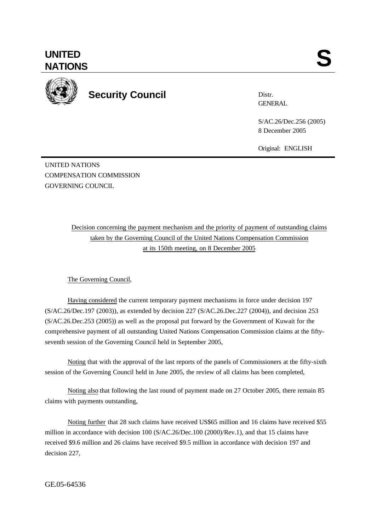

**Security Council**

Distr. **GENERAL** 

S/AC.26/Dec.256 (2005) 8 December 2005

Original: ENGLISH

UNITED NATIONS COMPENSATION COMMISSION GOVERNING COUNCIL

> Decision concerning the payment mechanism and the priority of payment of outstanding claims taken by the Governing Council of the United Nations Compensation Commission at its 150th meeting, on 8 December 2005

## The Governing Council,

Having considered the current temporary payment mechanisms in force under decision 197 (S/AC.26/Dec.197 (2003)), as extended by decision 227 (S/AC.26.Dec.227 (2004)), and decision 253 (S/AC.26.Dec.253 (2005)) as well as the proposal put forward by the Government of Kuwait for the comprehensive payment of all outstanding United Nations Compensation Commission claims at the fiftyseventh session of the Governing Council held in September 2005,

Noting that with the approval of the last reports of the panels of Commissioners at the fifty-sixth session of the Governing Council held in June 2005, the review of all claims has been completed,

Noting also that following the last round of payment made on 27 October 2005, there remain 85 claims with payments outstanding,

Noting further that 28 such claims have received US\$65 million and 16 claims have received \$55 million in accordance with decision 100 (S/AC.26/Dec.100 (2000)/Rev.1), and that 15 claims have received \$9.6 million and 26 claims have received \$9.5 million in accordance with decision 197 and decision 227,